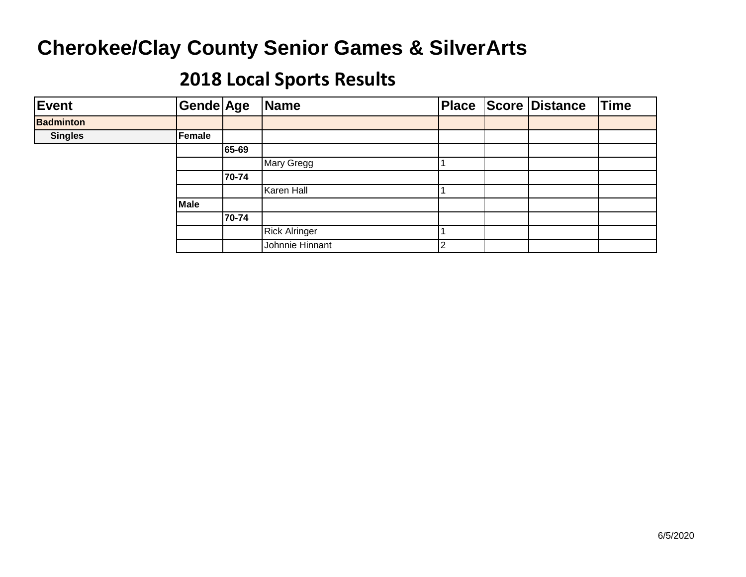| Event            | Gende Age     |       | Name                 |  | Place Score Distance | <b>Time</b> |
|------------------|---------------|-------|----------------------|--|----------------------|-------------|
| <b>Badminton</b> |               |       |                      |  |                      |             |
| <b>Singles</b>   | <b>Female</b> |       |                      |  |                      |             |
|                  |               | 65-69 |                      |  |                      |             |
|                  |               |       | Mary Gregg           |  |                      |             |
|                  |               | 70-74 |                      |  |                      |             |
|                  |               |       | Karen Hall           |  |                      |             |
|                  | Male          |       |                      |  |                      |             |
|                  |               | 70-74 |                      |  |                      |             |
|                  |               |       | <b>Rick Alringer</b> |  |                      |             |
|                  |               |       | Johnnie Hinnant      |  |                      |             |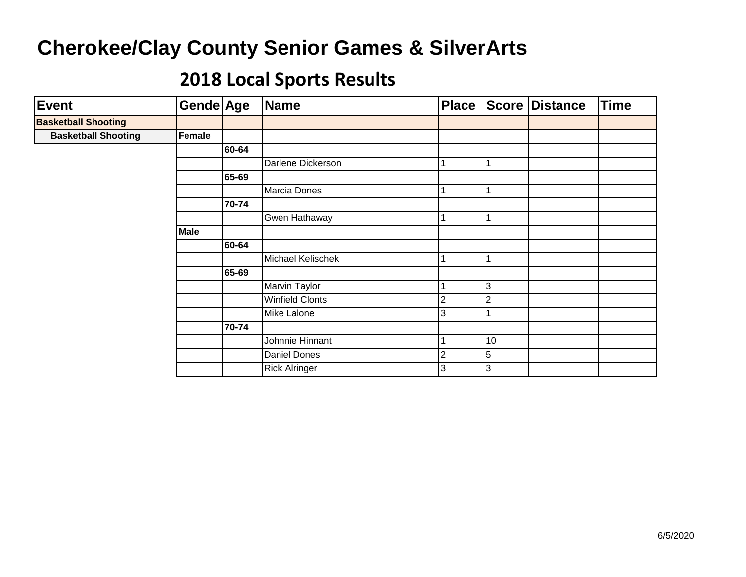| <b>Event</b>               | Gende Age   |       | Name                   | Place |                | Score Distance | <b>Time</b> |
|----------------------------|-------------|-------|------------------------|-------|----------------|----------------|-------------|
| <b>Basketball Shooting</b> |             |       |                        |       |                |                |             |
| <b>Basketball Shooting</b> | Female      |       |                        |       |                |                |             |
|                            |             | 60-64 |                        |       |                |                |             |
|                            |             |       | Darlene Dickerson      |       |                |                |             |
|                            |             | 65-69 |                        |       |                |                |             |
|                            |             |       | Marcia Dones           |       |                |                |             |
|                            |             | 70-74 |                        |       |                |                |             |
|                            |             |       | Gwen Hathaway          |       |                |                |             |
|                            | <b>Male</b> |       |                        |       |                |                |             |
|                            |             | 60-64 |                        |       |                |                |             |
|                            |             |       | Michael Kelischek      |       |                |                |             |
|                            |             | 65-69 |                        |       |                |                |             |
|                            |             |       | Marvin Taylor          |       | 3              |                |             |
|                            |             |       | <b>Winfield Clonts</b> | 2     | $\overline{2}$ |                |             |
|                            |             |       | Mike Lalone            | 3     |                |                |             |
|                            |             | 70-74 |                        |       |                |                |             |
|                            |             |       | Johnnie Hinnant        |       | 10             |                |             |
|                            |             |       | <b>Daniel Dones</b>    | 2     | $\overline{5}$ |                |             |
|                            |             |       | <b>Rick Alringer</b>   | 3     | 3              |                |             |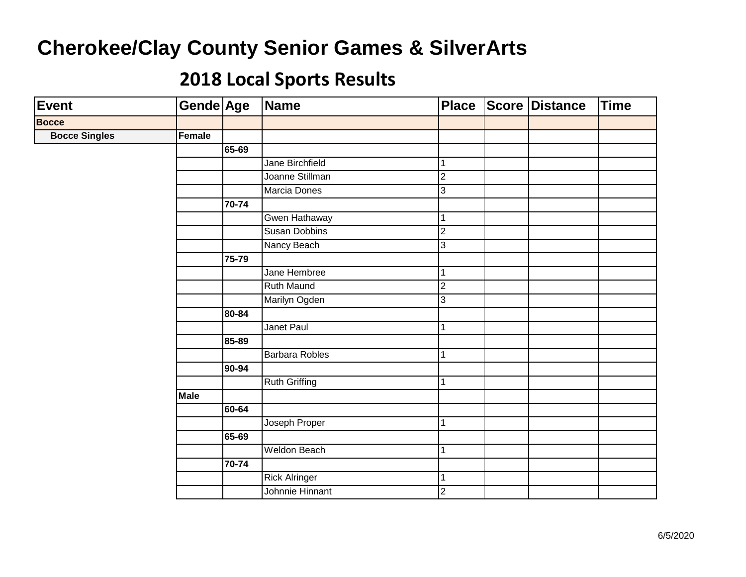| <b>Event</b>         | Gende Age   |       | <b>Name</b>           | <b>Place</b>   | <b>Score Distance</b> | <b>Time</b> |
|----------------------|-------------|-------|-----------------------|----------------|-----------------------|-------------|
| <b>Bocce</b>         |             |       |                       |                |                       |             |
| <b>Bocce Singles</b> | Female      |       |                       |                |                       |             |
|                      |             | 65-69 |                       |                |                       |             |
|                      |             |       | Jane Birchfield       | 1              |                       |             |
|                      |             |       | Joanne Stillman       | $\overline{2}$ |                       |             |
|                      |             |       | Marcia Dones          | 3              |                       |             |
|                      |             | 70-74 |                       |                |                       |             |
|                      |             |       | Gwen Hathaway         | 1              |                       |             |
|                      |             |       | <b>Susan Dobbins</b>  | $\overline{2}$ |                       |             |
|                      |             |       | Nancy Beach           | 3              |                       |             |
|                      |             | 75-79 |                       |                |                       |             |
|                      |             |       | Jane Hembree          | 1              |                       |             |
|                      |             |       | <b>Ruth Maund</b>     | $\overline{2}$ |                       |             |
|                      |             |       | Marilyn Ogden         | 3              |                       |             |
|                      |             | 80-84 |                       |                |                       |             |
|                      |             |       | Janet Paul            | 1              |                       |             |
|                      |             | 85-89 |                       |                |                       |             |
|                      |             |       | <b>Barbara Robles</b> | 1              |                       |             |
|                      |             | 90-94 |                       |                |                       |             |
|                      |             |       | <b>Ruth Griffing</b>  | 1              |                       |             |
|                      | <b>Male</b> |       |                       |                |                       |             |
|                      |             | 60-64 |                       |                |                       |             |
|                      |             |       | Joseph Proper         | 1              |                       |             |
|                      |             | 65-69 |                       |                |                       |             |
|                      |             |       | Weldon Beach          | 1              |                       |             |
|                      |             | 70-74 |                       |                |                       |             |
|                      |             |       | <b>Rick Alringer</b>  | 1              |                       |             |
|                      |             |       | Johnnie Hinnant       | $\overline{2}$ |                       |             |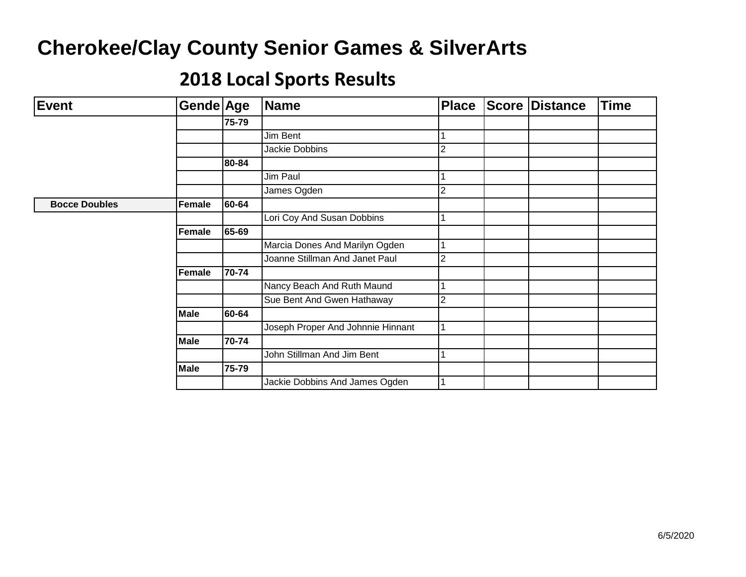| <b>Event</b>         | Gende Age   |       | Name                              | <b>Place</b> | <b>Score Distance</b> | <b>Time</b> |
|----------------------|-------------|-------|-----------------------------------|--------------|-----------------------|-------------|
|                      |             | 75-79 |                                   |              |                       |             |
|                      |             |       | Jim Bent                          |              |                       |             |
|                      |             |       | Jackie Dobbins                    |              |                       |             |
|                      |             | 80-84 |                                   |              |                       |             |
|                      |             |       | Jim Paul                          |              |                       |             |
|                      |             |       | James Ogden                       |              |                       |             |
| <b>Bocce Doubles</b> | Female      | 60-64 |                                   |              |                       |             |
|                      |             |       | Lori Coy And Susan Dobbins        |              |                       |             |
|                      | Female      | 65-69 |                                   |              |                       |             |
|                      |             |       | Marcia Dones And Marilyn Ogden    |              |                       |             |
|                      |             |       | Joanne Stillman And Janet Paul    | ⌒            |                       |             |
|                      | Female      | 70-74 |                                   |              |                       |             |
|                      |             |       | Nancy Beach And Ruth Maund        |              |                       |             |
|                      |             |       | Sue Bent And Gwen Hathaway        |              |                       |             |
|                      | <b>Male</b> | 60-64 |                                   |              |                       |             |
|                      |             |       | Joseph Proper And Johnnie Hinnant |              |                       |             |
|                      | <b>Male</b> | 70-74 |                                   |              |                       |             |
|                      |             |       | John Stillman And Jim Bent        |              |                       |             |
|                      | <b>Male</b> | 75-79 |                                   |              |                       |             |
|                      |             |       | Jackie Dobbins And James Ogden    |              |                       |             |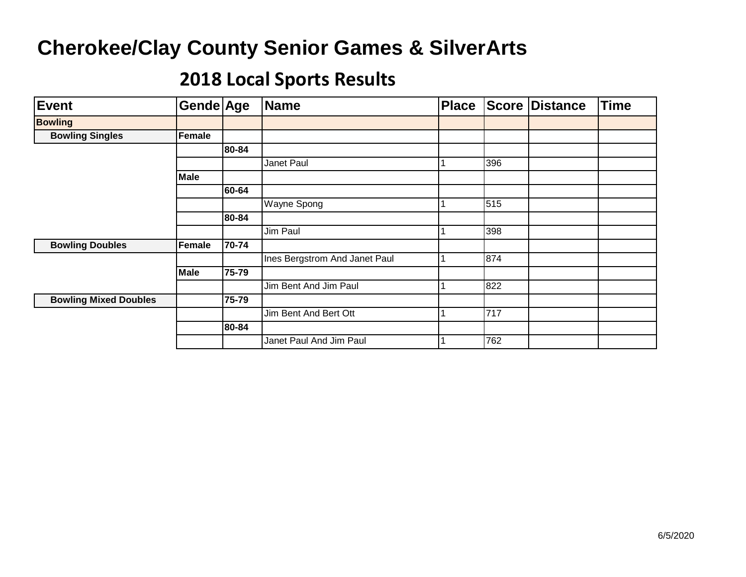| <b>Event</b>                 | Gende Age   |       | <b>Name</b>                   | <b>Place</b> |     | <b>Score Distance</b> | <b>Time</b> |
|------------------------------|-------------|-------|-------------------------------|--------------|-----|-----------------------|-------------|
| <b>Bowling</b>               |             |       |                               |              |     |                       |             |
| <b>Bowling Singles</b>       | Female      |       |                               |              |     |                       |             |
|                              |             | 80-84 |                               |              |     |                       |             |
|                              |             |       | Janet Paul                    |              | 396 |                       |             |
|                              | <b>Male</b> |       |                               |              |     |                       |             |
|                              |             | 60-64 |                               |              |     |                       |             |
|                              |             |       | <b>Wayne Spong</b>            |              | 515 |                       |             |
|                              |             | 80-84 |                               |              |     |                       |             |
|                              |             |       | Jim Paul                      |              | 398 |                       |             |
| <b>Bowling Doubles</b>       | Female      | 70-74 |                               |              |     |                       |             |
|                              |             |       | Ines Bergstrom And Janet Paul |              | 874 |                       |             |
|                              | <b>Male</b> | 75-79 |                               |              |     |                       |             |
|                              |             |       | Jim Bent And Jim Paul         |              | 822 |                       |             |
| <b>Bowling Mixed Doubles</b> |             | 75-79 |                               |              |     |                       |             |
|                              |             |       | Jim Bent And Bert Ott         |              | 717 |                       |             |
|                              |             | 80-84 |                               |              |     |                       |             |
|                              |             |       | Janet Paul And Jim Paul       |              | 762 |                       |             |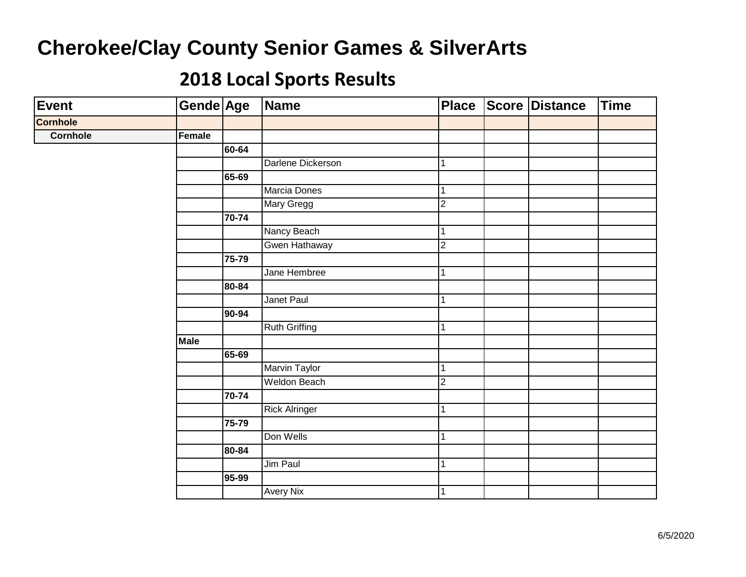| Event           | Gende Age   |       | Name                 | <b>Place</b>   | Score Distance | <b>Time</b> |
|-----------------|-------------|-------|----------------------|----------------|----------------|-------------|
| <b>Cornhole</b> |             |       |                      |                |                |             |
| <b>Cornhole</b> | Female      |       |                      |                |                |             |
|                 |             | 60-64 |                      |                |                |             |
|                 |             |       | Darlene Dickerson    | 1              |                |             |
|                 |             | 65-69 |                      |                |                |             |
|                 |             |       | Marcia Dones         | 1              |                |             |
|                 |             |       | Mary Gregg           | ا C            |                |             |
|                 |             | 70-74 |                      |                |                |             |
|                 |             |       | Nancy Beach          | 1              |                |             |
|                 |             |       | Gwen Hathaway        | $\overline{2}$ |                |             |
|                 |             | 75-79 |                      |                |                |             |
|                 |             |       | Jane Hembree         | $\mathbf 1$    |                |             |
|                 |             | 80-84 |                      |                |                |             |
|                 |             |       | Janet Paul           | 1              |                |             |
|                 |             | 90-94 |                      |                |                |             |
|                 |             |       | <b>Ruth Griffing</b> | 1              |                |             |
|                 | <b>Male</b> |       |                      |                |                |             |
|                 |             | 65-69 |                      |                |                |             |
|                 |             |       | <b>Marvin Taylor</b> | 1              |                |             |
|                 |             |       | <b>Weldon Beach</b>  | ا C            |                |             |
|                 |             | 70-74 |                      |                |                |             |
|                 |             |       | <b>Rick Alringer</b> | 1              |                |             |
|                 |             | 75-79 |                      |                |                |             |
|                 |             |       | Don Wells            | 1              |                |             |
|                 |             | 80-84 |                      |                |                |             |
|                 |             |       | Jim Paul             | $\overline{1}$ |                |             |
|                 |             | 95-99 |                      |                |                |             |
|                 |             |       | <b>Avery Nix</b>     | 1              |                |             |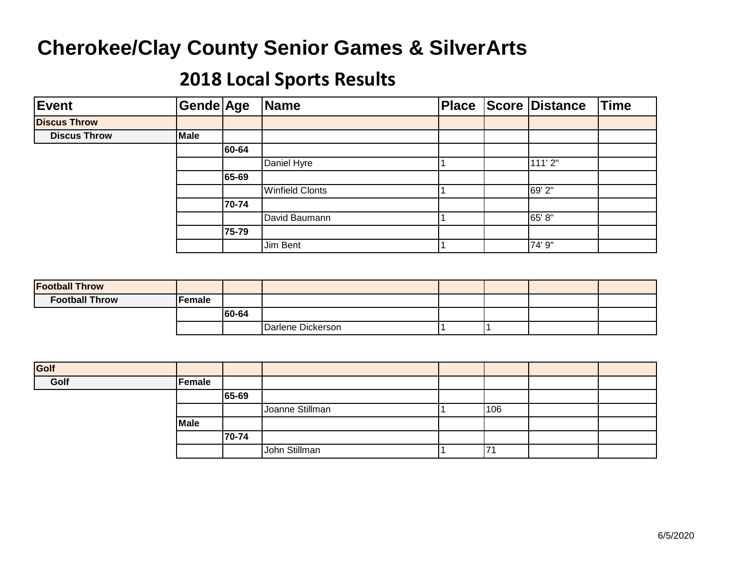| Event               | Gende Age   |       | Name                   | <b>Place</b> | Score Distance | <b>Time</b> |
|---------------------|-------------|-------|------------------------|--------------|----------------|-------------|
| <b>Discus Throw</b> |             |       |                        |              |                |             |
| <b>Discus Throw</b> | <b>Male</b> |       |                        |              |                |             |
|                     |             | 60-64 |                        |              |                |             |
|                     |             |       | Daniel Hyre            |              | 111'2"         |             |
|                     |             | 65-69 |                        |              |                |             |
|                     |             |       | <b>Winfield Clonts</b> |              | 69'2"          |             |
|                     |             | 70-74 |                        |              |                |             |
|                     |             |       | David Baumann          |              | 65'8"          |             |
|                     |             | 75-79 |                        |              |                |             |
|                     |             |       | Jim Bent               |              | 74' 9"         |             |

| <b>Football Throw</b> |        |       |                   |  |  |
|-----------------------|--------|-------|-------------------|--|--|
| <b>Football Throw</b> | Female |       |                   |  |  |
|                       |        | 60-64 |                   |  |  |
|                       |        |       | Darlene Dickerson |  |  |

| Golf |               |       |                 |     |  |
|------|---------------|-------|-----------------|-----|--|
| Golf | <b>Female</b> |       |                 |     |  |
|      |               | 65-69 |                 |     |  |
|      |               |       | Joanne Stillman | 106 |  |
|      | Male          |       |                 |     |  |
|      |               | 70-74 |                 |     |  |
|      |               |       | John Stillman   | 171 |  |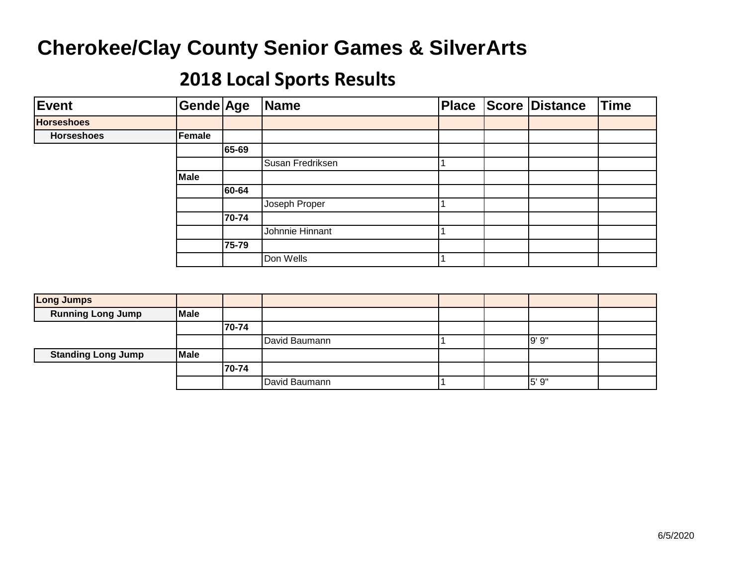| Event             | Gende Age   |       | Name             | <b>Place</b> | Score Distance | <b>Time</b> |
|-------------------|-------------|-------|------------------|--------------|----------------|-------------|
| <b>Horseshoes</b> |             |       |                  |              |                |             |
| <b>Horseshoes</b> | Female      |       |                  |              |                |             |
|                   |             | 65-69 |                  |              |                |             |
|                   |             |       | Susan Fredriksen |              |                |             |
|                   | <b>Male</b> |       |                  |              |                |             |
|                   |             | 60-64 |                  |              |                |             |
|                   |             |       | Joseph Proper    |              |                |             |
|                   |             | 70-74 |                  |              |                |             |
|                   |             |       | Johnnie Hinnant  |              |                |             |
|                   |             | 75-79 |                  |              |                |             |
|                   |             |       | Don Wells        |              |                |             |

| <b>Long Jumps</b>         |             |       |               |  |       |  |
|---------------------------|-------------|-------|---------------|--|-------|--|
| <b>Running Long Jump</b>  | <b>Male</b> |       |               |  |       |  |
|                           |             | 70-74 |               |  |       |  |
|                           |             |       | David Baumann |  | 9'9"  |  |
| <b>Standing Long Jump</b> | <b>Male</b> |       |               |  |       |  |
|                           |             | 70-74 |               |  |       |  |
|                           |             |       | David Baumann |  | 5' 9" |  |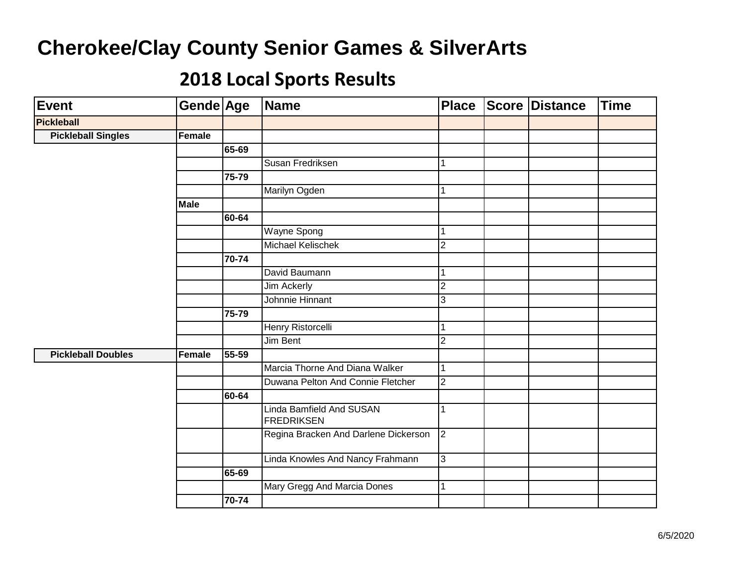| <b>Event</b>              | Gende Age   |       | <b>Name</b>                                          | <b>Place</b>   | <b>Score Distance</b> | <b>Time</b> |
|---------------------------|-------------|-------|------------------------------------------------------|----------------|-----------------------|-------------|
| <b>Pickleball</b>         |             |       |                                                      |                |                       |             |
| <b>Pickleball Singles</b> | Female      |       |                                                      |                |                       |             |
|                           |             | 65-69 |                                                      |                |                       |             |
|                           |             |       | Susan Fredriksen                                     |                |                       |             |
|                           |             | 75-79 |                                                      |                |                       |             |
|                           |             |       | Marilyn Ogden                                        |                |                       |             |
|                           | <b>Male</b> |       |                                                      |                |                       |             |
|                           |             | 60-64 |                                                      |                |                       |             |
|                           |             |       | Wayne Spong                                          |                |                       |             |
|                           |             |       | Michael Kelischek                                    | $\overline{2}$ |                       |             |
|                           |             | 70-74 |                                                      |                |                       |             |
|                           |             |       | David Baumann                                        |                |                       |             |
|                           |             |       | <b>Jim Ackerly</b>                                   | $\overline{2}$ |                       |             |
|                           |             |       | Johnnie Hinnant                                      | 3              |                       |             |
|                           |             | 75-79 |                                                      |                |                       |             |
|                           |             |       | <b>Henry Ristorcelli</b>                             |                |                       |             |
|                           |             |       | <b>Jim Bent</b>                                      | $\overline{2}$ |                       |             |
| <b>Pickleball Doubles</b> | Female      | 55-59 |                                                      |                |                       |             |
|                           |             |       | Marcia Thorne And Diana Walker                       |                |                       |             |
|                           |             |       | Duwana Pelton And Connie Fletcher                    | $\overline{2}$ |                       |             |
|                           |             | 60-64 |                                                      |                |                       |             |
|                           |             |       | <b>Linda Bamfield And SUSAN</b><br><b>FREDRIKSEN</b> |                |                       |             |
|                           |             |       | Regina Bracken And Darlene Dickerson                 | $\overline{2}$ |                       |             |
|                           |             |       | Linda Knowles And Nancy Frahmann                     | 3              |                       |             |
|                           |             | 65-69 |                                                      |                |                       |             |
|                           |             |       | Mary Gregg And Marcia Dones                          | $\mathbf{1}$   |                       |             |
|                           |             | 70-74 |                                                      |                |                       |             |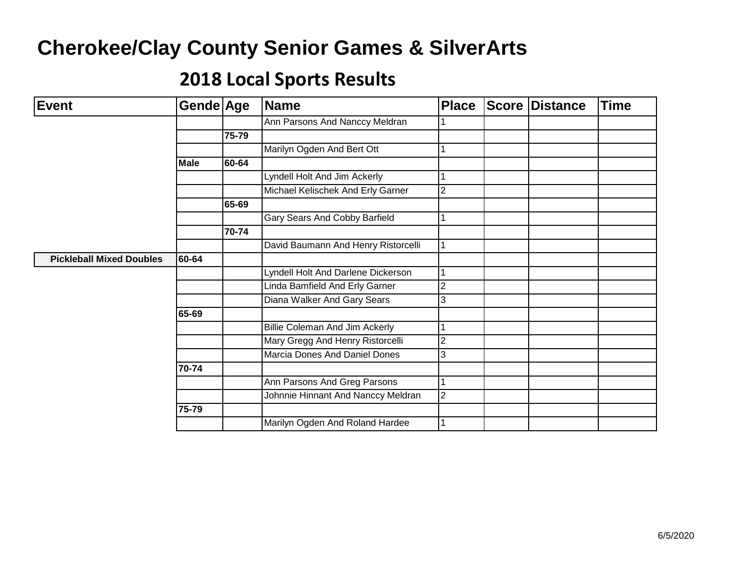| <b>Event</b>                    | Gende Age   |       | <b>Name</b>                           | <b>Place</b>   | <b>Score Distance</b> | <b>Time</b> |
|---------------------------------|-------------|-------|---------------------------------------|----------------|-----------------------|-------------|
|                                 |             |       | Ann Parsons And Nanccy Meldran        |                |                       |             |
|                                 |             | 75-79 |                                       |                |                       |             |
|                                 |             |       | Marilyn Ogden And Bert Ott            |                |                       |             |
|                                 | <b>Male</b> | 60-64 |                                       |                |                       |             |
|                                 |             |       | Lyndell Holt And Jim Ackerly          |                |                       |             |
|                                 |             |       | Michael Kelischek And Erly Garner     | $\overline{2}$ |                       |             |
|                                 |             | 65-69 |                                       |                |                       |             |
|                                 |             |       | Gary Sears And Cobby Barfield         |                |                       |             |
|                                 |             | 70-74 |                                       |                |                       |             |
|                                 |             |       | David Baumann And Henry Ristorcelli   |                |                       |             |
| <b>Pickleball Mixed Doubles</b> | 60-64       |       |                                       |                |                       |             |
|                                 |             |       | Lyndell Holt And Darlene Dickerson    |                |                       |             |
|                                 |             |       | Linda Bamfield And Erly Garner        | $\overline{2}$ |                       |             |
|                                 |             |       | Diana Walker And Gary Sears           | 3              |                       |             |
|                                 | 65-69       |       |                                       |                |                       |             |
|                                 |             |       | <b>Billie Coleman And Jim Ackerly</b> |                |                       |             |
|                                 |             |       | Mary Gregg And Henry Ristorcelli      | $\overline{2}$ |                       |             |
|                                 |             |       | Marcia Dones And Daniel Dones         | 3              |                       |             |
|                                 | 70-74       |       |                                       |                |                       |             |
|                                 |             |       | Ann Parsons And Greg Parsons          |                |                       |             |
|                                 |             |       | Johnnie Hinnant And Nanccy Meldran    | $\overline{2}$ |                       |             |
|                                 | 75-79       |       |                                       |                |                       |             |
|                                 |             |       | Marilyn Ogden And Roland Hardee       |                |                       |             |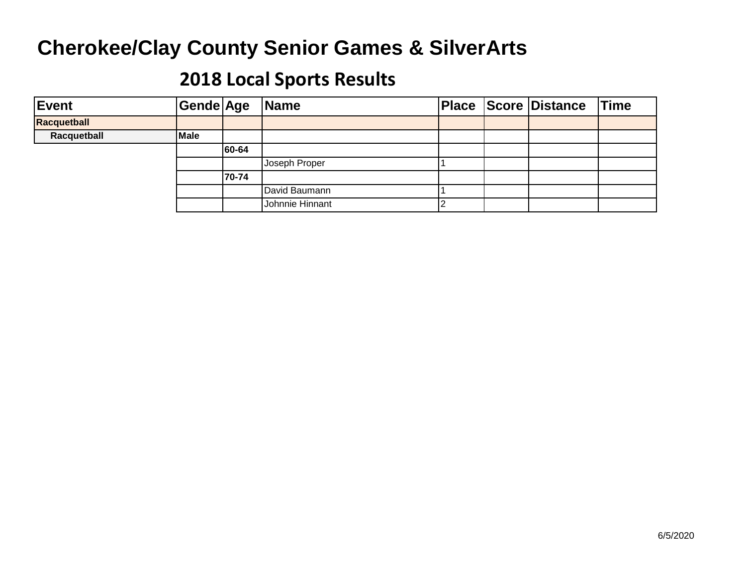| Event       | Gende Age   |       | <b>Name</b>     |  | <b>Place Score Distance</b> | Time |
|-------------|-------------|-------|-----------------|--|-----------------------------|------|
| Racquetball |             |       |                 |  |                             |      |
| Racquetball | <b>Male</b> |       |                 |  |                             |      |
|             |             | 60-64 |                 |  |                             |      |
|             |             |       | Joseph Proper   |  |                             |      |
|             |             | 70-74 |                 |  |                             |      |
|             |             |       | David Baumann   |  |                             |      |
|             |             |       | Johnnie Hinnant |  |                             |      |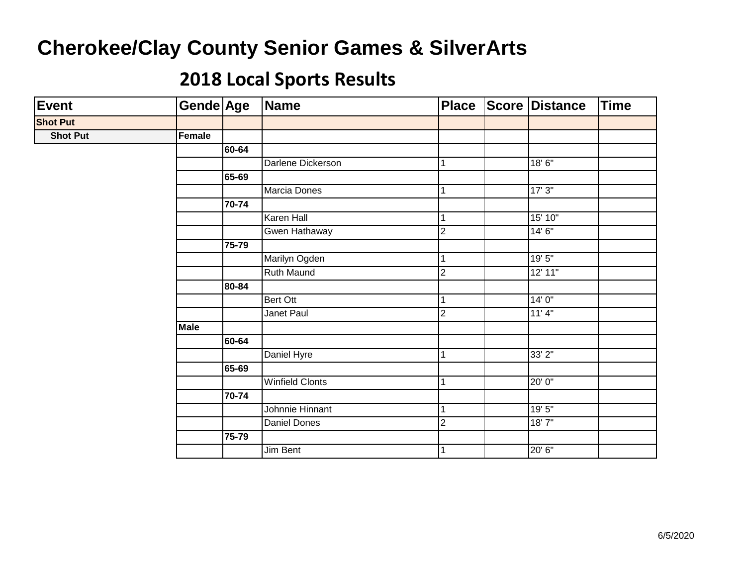| <b>Event</b>    | Gende Age   |       | Name                   | <b>Place</b>   | Score Distance | <b>Time</b> |
|-----------------|-------------|-------|------------------------|----------------|----------------|-------------|
| <b>Shot Put</b> |             |       |                        |                |                |             |
| <b>Shot Put</b> | Female      |       |                        |                |                |             |
|                 |             | 60-64 |                        |                |                |             |
|                 |             |       | Darlene Dickerson      | 1              | 18'6''         |             |
|                 |             | 65-69 |                        |                |                |             |
|                 |             |       | Marcia Dones           | 1              | 17'3''         |             |
|                 |             | 70-74 |                        |                |                |             |
|                 |             |       | Karen Hall             | 1              | 15' 10"        |             |
|                 |             |       | Gwen Hathaway          | $\overline{2}$ | 14'6''         |             |
|                 |             | 75-79 |                        |                |                |             |
|                 |             |       | Marilyn Ogden          | $\vert$ 1      | 19'5''         |             |
|                 |             |       | <b>Ruth Maund</b>      | $\overline{c}$ | 12' 11"        |             |
|                 |             | 80-84 |                        |                |                |             |
|                 |             |       | <b>Bert Ott</b>        | $\mathbf{1}$   | 14'0''         |             |
|                 |             |       | Janet Paul             | $\overline{2}$ | 11'4"          |             |
|                 | <b>Male</b> |       |                        |                |                |             |
|                 |             | 60-64 |                        |                |                |             |
|                 |             |       | Daniel Hyre            | $\overline{1}$ | 33' 2"         |             |
|                 |             | 65-69 |                        |                |                |             |
|                 |             |       | <b>Winfield Clonts</b> | $\mathbf 1$    | 20'0"          |             |
|                 |             | 70-74 |                        |                |                |             |
|                 |             |       | Johnnie Hinnant        | 1              | 19'5''         |             |
|                 |             |       | Daniel Dones           | $\overline{2}$ | 18'7''         |             |
|                 |             | 75-79 |                        |                |                |             |
|                 |             |       | Jim Bent               | $\overline{1}$ | 20'6"          |             |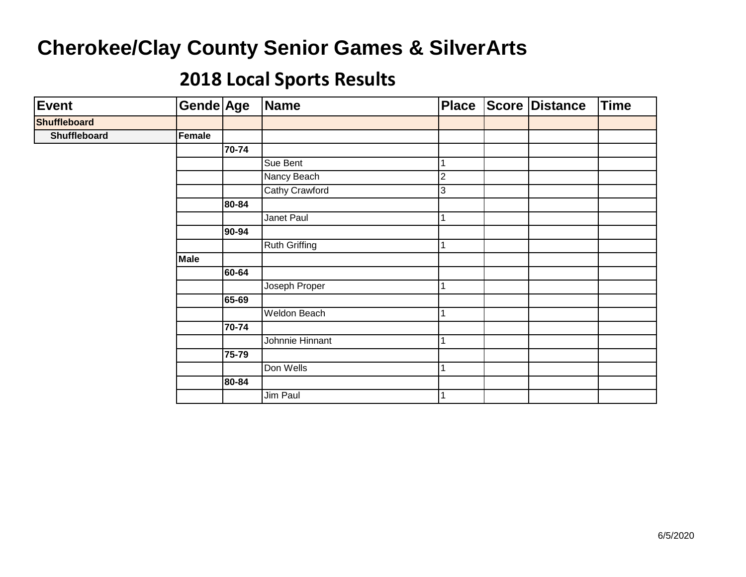| <b>Event</b>        | Gende Age   |         | Name                 | <b>Place</b> | <b>Score Distance</b> | <b>Time</b> |
|---------------------|-------------|---------|----------------------|--------------|-----------------------|-------------|
| <b>Shuffleboard</b> |             |         |                      |              |                       |             |
| Shuffleboard        | Female      |         |                      |              |                       |             |
|                     |             | 70-74   |                      |              |                       |             |
|                     |             |         | Sue Bent             |              |                       |             |
|                     |             |         | Nancy Beach          | 2            |                       |             |
|                     |             |         | Cathy Crawford       | 3            |                       |             |
|                     |             | 80-84   |                      |              |                       |             |
|                     |             |         | Janet Paul           |              |                       |             |
|                     |             | $90-94$ |                      |              |                       |             |
|                     |             |         | <b>Ruth Griffing</b> |              |                       |             |
|                     | <b>Male</b> |         |                      |              |                       |             |
|                     |             | 60-64   |                      |              |                       |             |
|                     |             |         | Joseph Proper        |              |                       |             |
|                     |             | 65-69   |                      |              |                       |             |
|                     |             |         | Weldon Beach         |              |                       |             |
|                     |             | 70-74   |                      |              |                       |             |
|                     |             |         | Johnnie Hinnant      |              |                       |             |
|                     |             | 75-79   |                      |              |                       |             |
|                     |             |         | Don Wells            |              |                       |             |
|                     |             | 80-84   |                      |              |                       |             |
|                     |             |         | Jim Paul             |              |                       |             |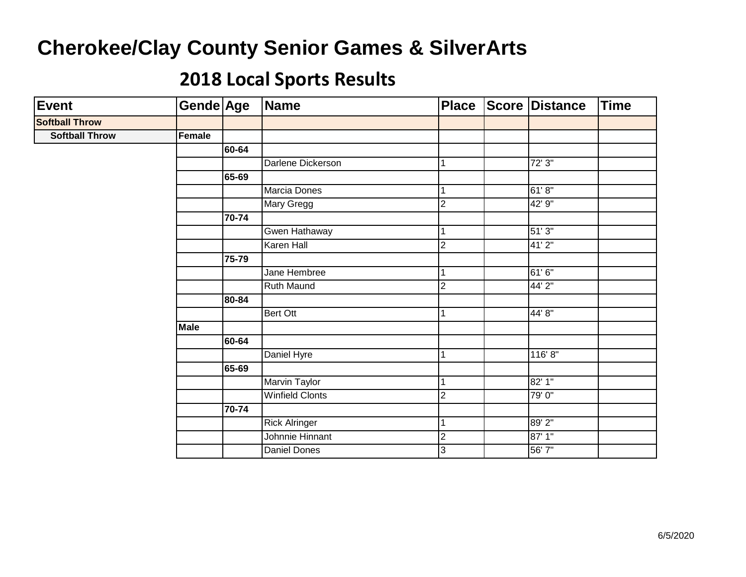| Event                 | Gende Age   |       | Name                   | <b>Place</b>   | <b>Score Distance</b> | <b>Time</b> |
|-----------------------|-------------|-------|------------------------|----------------|-----------------------|-------------|
| <b>Softball Throw</b> |             |       |                        |                |                       |             |
| <b>Softball Throw</b> | Female      |       |                        |                |                       |             |
|                       |             | 60-64 |                        |                |                       |             |
|                       |             |       | Darlene Dickerson      |                | 72'3''                |             |
|                       |             | 65-69 |                        |                |                       |             |
|                       |             |       | Marcia Dones           |                | 61'8"                 |             |
|                       |             |       | Mary Gregg             | $\overline{2}$ | 42' 9"                |             |
|                       |             | 70-74 |                        |                |                       |             |
|                       |             |       | Gwen Hathaway          |                | 51'3''                |             |
|                       |             |       | Karen Hall             | $\overline{c}$ | 41'2''                |             |
|                       |             | 75-79 |                        |                |                       |             |
|                       |             |       | Jane Hembree           |                | 61'6"                 |             |
|                       |             |       | <b>Ruth Maund</b>      | $\overline{2}$ | 44' 2"                |             |
|                       |             | 80-84 |                        |                |                       |             |
|                       |             |       | Bert Ott               | $\mathbf{1}$   | 44' 8"                |             |
|                       | <b>Male</b> |       |                        |                |                       |             |
|                       |             | 60-64 |                        |                |                       |             |
|                       |             |       | Daniel Hyre            |                | 116'8''               |             |
|                       |             | 65-69 |                        |                |                       |             |
|                       |             |       | Marvin Taylor          |                | 82' 1"                |             |
|                       |             |       | <b>Winfield Clonts</b> | $\overline{2}$ | 79'0"                 |             |
|                       |             | 70-74 |                        |                |                       |             |
|                       |             |       | <b>Rick Alringer</b>   |                | 89' 2"                |             |
|                       |             |       | Johnnie Hinnant        | $\mathbf{2}$   | 87' 1''               |             |
|                       |             |       | <b>Daniel Dones</b>    | 3              | 56'7"                 |             |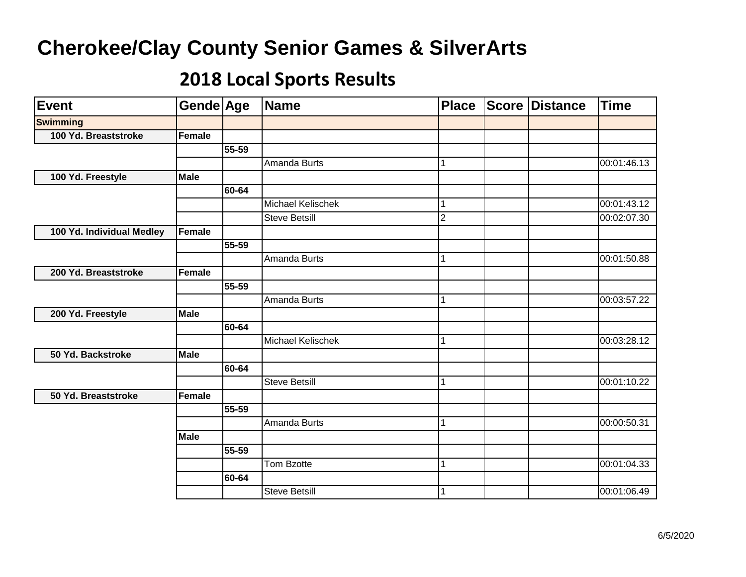| Event                     | Gende Age   |       | <b>Name</b>              | <b>Place</b> | Score | <b>Distance</b> | Time        |
|---------------------------|-------------|-------|--------------------------|--------------|-------|-----------------|-------------|
| <b>Swimming</b>           |             |       |                          |              |       |                 |             |
| 100 Yd. Breaststroke      | Female      |       |                          |              |       |                 |             |
|                           |             | 55-59 |                          |              |       |                 |             |
|                           |             |       | Amanda Burts             | 1            |       |                 | 00:01:46.13 |
| 100 Yd. Freestyle         | <b>Male</b> |       |                          |              |       |                 |             |
|                           |             | 60-64 |                          |              |       |                 |             |
|                           |             |       | Michael Kelischek        | 1            |       |                 | 00:01:43.12 |
|                           |             |       | <b>Steve Betsill</b>     | S.           |       |                 | 00:02:07.30 |
| 100 Yd. Individual Medley | Female      |       |                          |              |       |                 |             |
|                           |             | 55-59 |                          |              |       |                 |             |
|                           |             |       | Amanda Burts             | 1            |       |                 | 00:01:50.88 |
| 200 Yd. Breaststroke      | Female      |       |                          |              |       |                 |             |
|                           |             | 55-59 |                          |              |       |                 |             |
|                           |             |       | Amanda Burts             | 1            |       |                 | 00:03:57.22 |
| 200 Yd. Freestyle         | Male        |       |                          |              |       |                 |             |
|                           |             | 60-64 |                          |              |       |                 |             |
|                           |             |       | <b>Michael Kelischek</b> | 1            |       |                 | 00:03:28.12 |
| 50 Yd. Backstroke         | <b>Male</b> |       |                          |              |       |                 |             |
|                           |             | 60-64 |                          |              |       |                 |             |
|                           |             |       | <b>Steve Betsill</b>     | 1            |       |                 | 00:01:10.22 |
| 50 Yd. Breaststroke       | Female      |       |                          |              |       |                 |             |
|                           |             | 55-59 |                          |              |       |                 |             |
|                           |             |       | Amanda Burts             | 1            |       |                 | 00:00:50.31 |
|                           | <b>Male</b> |       |                          |              |       |                 |             |
|                           |             | 55-59 |                          |              |       |                 |             |
|                           |             |       | Tom Bzotte               | 1            |       |                 | 00:01:04.33 |
|                           |             | 60-64 |                          |              |       |                 |             |
|                           |             |       | <b>Steve Betsill</b>     | $\mathbf{1}$ |       |                 | 00:01:06.49 |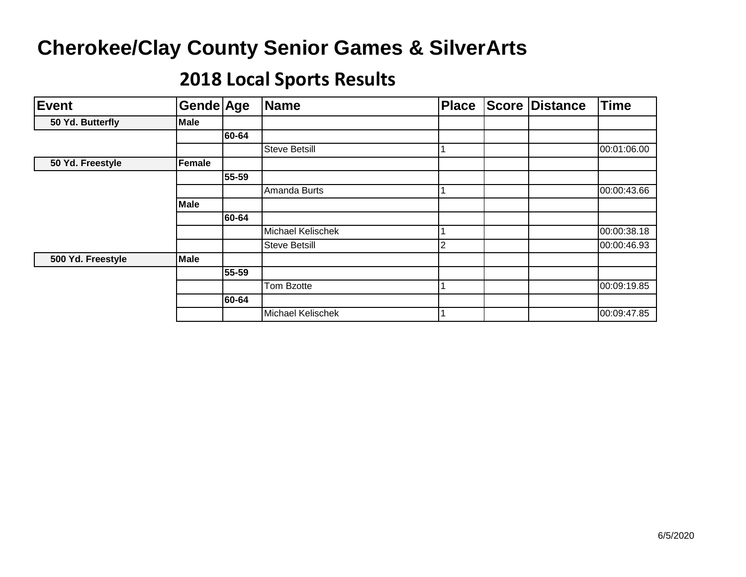| <b>Event</b>      | Gende Age   |       | <b>Name</b>          | <b>Place</b> | <b>Score Distance</b> | <b>Time</b> |
|-------------------|-------------|-------|----------------------|--------------|-----------------------|-------------|
| 50 Yd. Butterfly  | Male        |       |                      |              |                       |             |
|                   |             | 60-64 |                      |              |                       |             |
|                   |             |       | <b>Steve Betsill</b> |              |                       | 00:01:06.00 |
| 50 Yd. Freestyle  | Female      |       |                      |              |                       |             |
|                   |             | 55-59 |                      |              |                       |             |
|                   |             |       | Amanda Burts         |              |                       | 00:00:43.66 |
|                   | <b>Male</b> |       |                      |              |                       |             |
|                   |             | 60-64 |                      |              |                       |             |
|                   |             |       | Michael Kelischek    |              |                       | 00:00:38.18 |
|                   |             |       | <b>Steve Betsill</b> | ◠            |                       | 00:00:46.93 |
| 500 Yd. Freestyle | <b>Male</b> |       |                      |              |                       |             |
|                   |             | 55-59 |                      |              |                       |             |
|                   |             |       | Tom Bzotte           |              |                       | 00:09:19.85 |
|                   |             | 60-64 |                      |              |                       |             |
|                   |             |       | Michael Kelischek    |              |                       | 00:09:47.85 |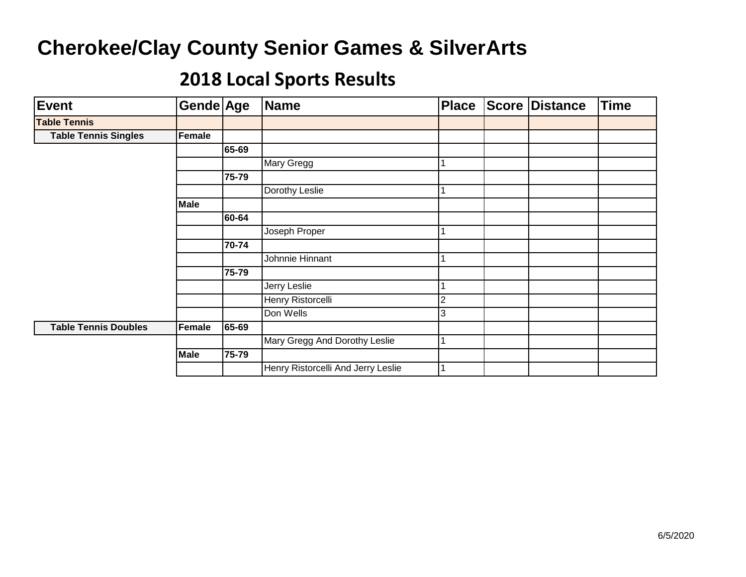| <b>Event</b>                | Gende Age   |       | <b>Name</b>                        | <b>Place</b> | <b>Score Distance</b> | <b>Time</b> |
|-----------------------------|-------------|-------|------------------------------------|--------------|-----------------------|-------------|
| <b>Table Tennis</b>         |             |       |                                    |              |                       |             |
| <b>Table Tennis Singles</b> | Female      |       |                                    |              |                       |             |
|                             |             | 65-69 |                                    |              |                       |             |
|                             |             |       | Mary Gregg                         |              |                       |             |
|                             |             | 75-79 |                                    |              |                       |             |
|                             |             |       | Dorothy Leslie                     |              |                       |             |
|                             | <b>Male</b> |       |                                    |              |                       |             |
|                             |             | 60-64 |                                    |              |                       |             |
|                             |             |       | Joseph Proper                      |              |                       |             |
|                             |             | 70-74 |                                    |              |                       |             |
|                             |             |       | Johnnie Hinnant                    |              |                       |             |
|                             |             | 75-79 |                                    |              |                       |             |
|                             |             |       | Jerry Leslie                       |              |                       |             |
|                             |             |       | Henry Ristorcelli                  | 2            |                       |             |
|                             |             |       | Don Wells                          | 3            |                       |             |
| <b>Table Tennis Doubles</b> | Female      | 65-69 |                                    |              |                       |             |
|                             |             |       | Mary Gregg And Dorothy Leslie      |              |                       |             |
|                             | <b>Male</b> | 75-79 |                                    |              |                       |             |
|                             |             |       | Henry Ristorcelli And Jerry Leslie |              |                       |             |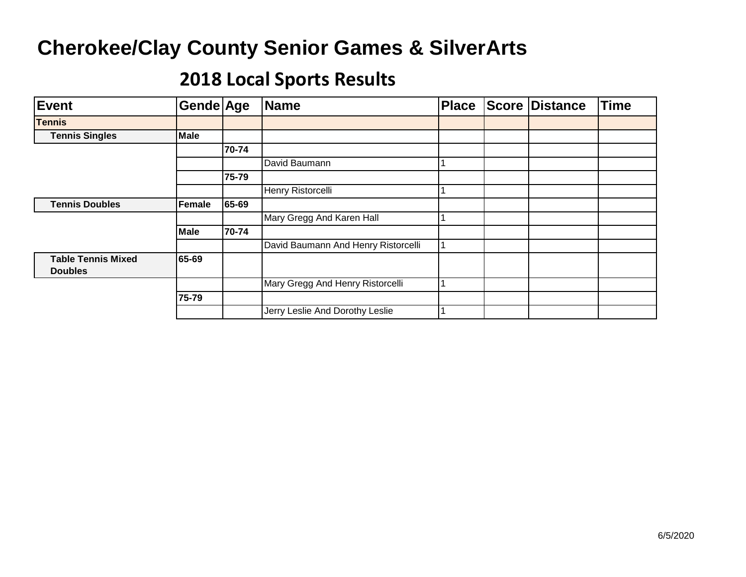| Event                                       | Gende Age   |       | <b>Name</b>                         | <b>Place</b> | <b>Score</b> | Distance | Time |
|---------------------------------------------|-------------|-------|-------------------------------------|--------------|--------------|----------|------|
| <b>Tennis</b>                               |             |       |                                     |              |              |          |      |
| <b>Tennis Singles</b>                       | <b>Male</b> |       |                                     |              |              |          |      |
|                                             |             | 70-74 |                                     |              |              |          |      |
|                                             |             |       | David Baumann                       |              |              |          |      |
|                                             |             | 75-79 |                                     |              |              |          |      |
|                                             |             |       | Henry Ristorcelli                   |              |              |          |      |
| <b>Tennis Doubles</b>                       | Female      | 65-69 |                                     |              |              |          |      |
|                                             |             |       | Mary Gregg And Karen Hall           |              |              |          |      |
|                                             | Male        | 70-74 |                                     |              |              |          |      |
|                                             |             |       | David Baumann And Henry Ristorcelli |              |              |          |      |
| <b>Table Tennis Mixed</b><br><b>Doubles</b> | 65-69       |       |                                     |              |              |          |      |
|                                             |             |       | Mary Gregg And Henry Ristorcelli    |              |              |          |      |
|                                             | 75-79       |       |                                     |              |              |          |      |
|                                             |             |       | Jerry Leslie And Dorothy Leslie     |              |              |          |      |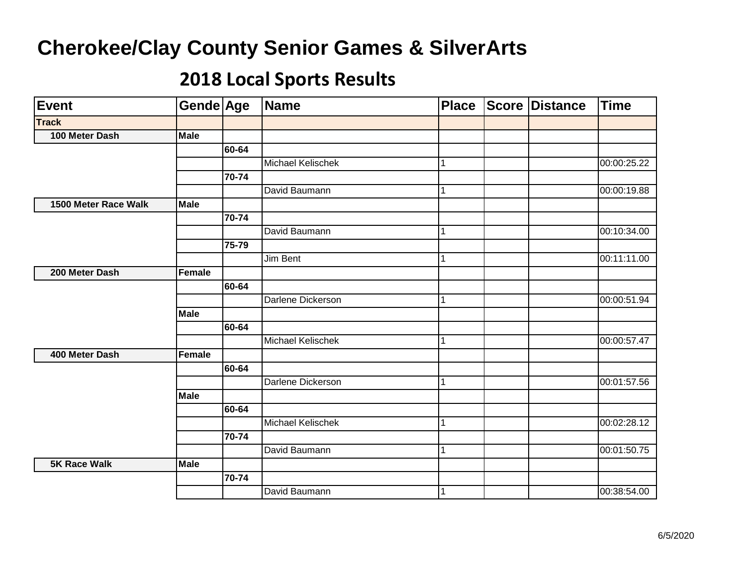| Event                | Gende Age   |           | Name              | <b>Place</b> | <b>Score Distance</b> | Time        |
|----------------------|-------------|-----------|-------------------|--------------|-----------------------|-------------|
| <b>Track</b>         |             |           |                   |              |                       |             |
| 100 Meter Dash       | <b>Male</b> |           |                   |              |                       |             |
|                      |             | 60-64     |                   |              |                       |             |
|                      |             |           | Michael Kelischek | 1            |                       | 00:00:25.22 |
|                      |             | $70 - 74$ |                   |              |                       |             |
|                      |             |           | David Baumann     |              |                       | 00:00:19.88 |
| 1500 Meter Race Walk | <b>Male</b> |           |                   |              |                       |             |
|                      |             | 70-74     |                   |              |                       |             |
|                      |             |           | David Baumann     | 1            |                       | 00:10:34.00 |
|                      |             | 75-79     |                   |              |                       |             |
|                      |             |           | Jim Bent          |              |                       | 00:11:11.00 |
| 200 Meter Dash       | Female      |           |                   |              |                       |             |
|                      |             | 60-64     |                   |              |                       |             |
|                      |             |           | Darlene Dickerson |              |                       | 00:00:51.94 |
|                      | <b>Male</b> |           |                   |              |                       |             |
|                      |             | 60-64     |                   |              |                       |             |
|                      |             |           | Michael Kelischek |              |                       | 00:00:57.47 |
| 400 Meter Dash       | Female      |           |                   |              |                       |             |
|                      |             | 60-64     |                   |              |                       |             |
|                      |             |           | Darlene Dickerson | 1            |                       | 00:01:57.56 |
|                      | <b>Male</b> |           |                   |              |                       |             |
|                      |             | 60-64     |                   |              |                       |             |
|                      |             |           | Michael Kelischek | 1            |                       | 00:02:28.12 |
|                      |             | $70 - 74$ |                   |              |                       |             |
|                      |             |           | David Baumann     |              |                       | 00:01:50.75 |
| <b>5K Race Walk</b>  | <b>Male</b> |           |                   |              |                       |             |
|                      |             | 70-74     |                   |              |                       |             |
|                      |             |           | David Baumann     | 1            |                       | 00:38:54.00 |